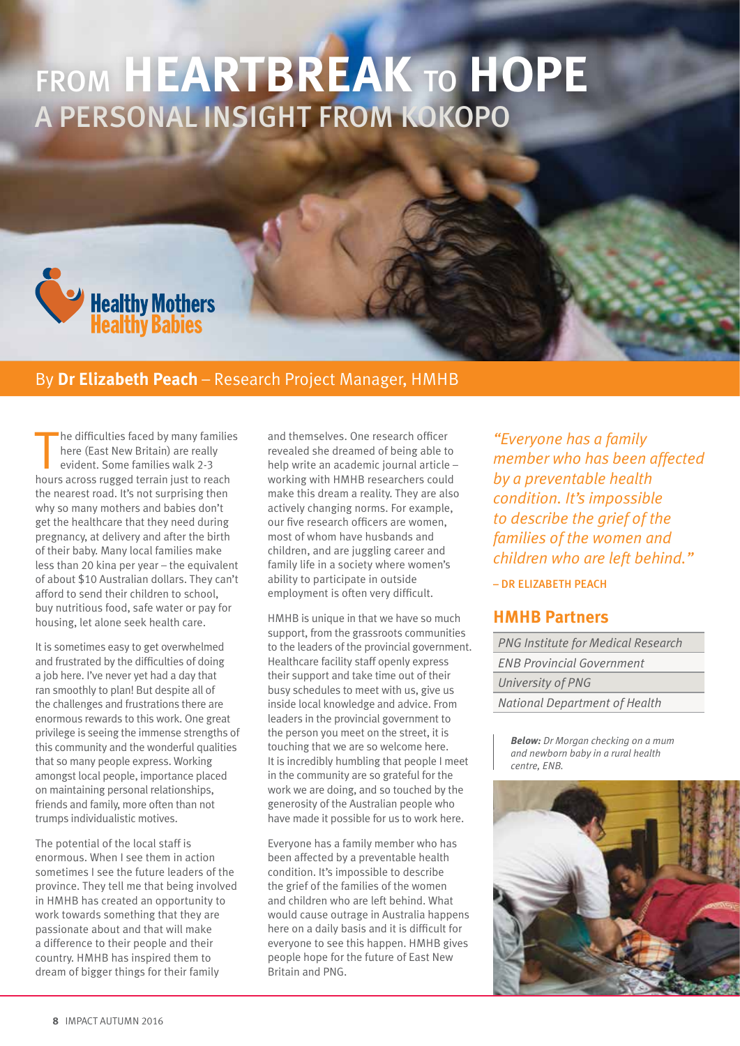# From **heartbreak** to **hope** a personal insight from Kokopo



#### By **Dr Elizabeth Peach** – Research Project Manager, HMHB

The difficulties faced by many familie<br>here (East New Britain) are really<br>evident. Some families walk 2-3<br>hours across rugged terrain just to reach he difficulties faced by many families here (East New Britain) are really evident. Some families walk 2-3 the nearest road. It's not surprising then why so many mothers and babies don't get the healthcare that they need during pregnancy, at delivery and after the birth of their baby. Many local families make less than 20 kina per year – the equivalent of about \$10 Australian dollars. They can't afford to send their children to school, buy nutritious food, safe water or pay for housing, let alone seek health care.

It is sometimes easy to get overwhelmed and frustrated by the difficulties of doing a job here. I've never yet had a day that ran smoothly to plan! But despite all of the challenges and frustrations there are enormous rewards to this work. One great privilege is seeing the immense strengths of this community and the wonderful qualities that so many people express. Working amongst local people, importance placed on maintaining personal relationships, friends and family, more often than not trumps individualistic motives.

The potential of the local staff is enormous. When I see them in action sometimes I see the future leaders of the province. They tell me that being involved in HMHB has created an opportunity to work towards something that they are passionate about and that will make a difference to their people and their country. HMHB has inspired them to dream of bigger things for their family

and themselves. One research officer revealed she dreamed of being able to help write an academic journal article – working with HMHB researchers could make this dream a reality. They are also actively changing norms. For example, our five research officers are women, most of whom have husbands and children, and are juggling career and family life in a society where women's ability to participate in outside employment is often very difficult.

HMHB is unique in that we have so much support, from the grassroots communities to the leaders of the provincial government. Healthcare facility staff openly express their support and take time out of their busy schedules to meet with us, give us inside local knowledge and advice. From leaders in the provincial government to the person you meet on the street, it is touching that we are so welcome here. It is incredibly humbling that people I meet in the community are so grateful for the work we are doing, and so touched by the generosity of the Australian people who have made it possible for us to work here.

Everyone has a family member who has been affected by a preventable health condition. It's impossible to describe the grief of the families of the women and children who are left behind. What would cause outrage in Australia happens here on a daily basis and it is difficult for everyone to see this happen. HMHB gives people hope for the future of East New Britain and PNG.

*"Everyone has a family member who has been affected by a preventable health condition. It's impossible to describe the grief of the families of the women and children who are left behind."*

– Dr Elizabeth Peach

#### **HMHB Partners**

*PNG Institute for Medical Research ENB Provincial Government University of PNG National Department of Health*

*Below: Dr Morgan checking on a mum and newborn baby in a rural health centre, ENB.*